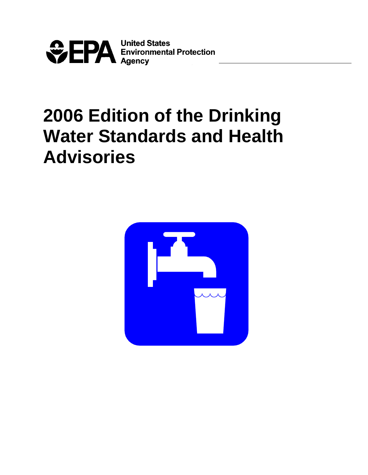

# **2006 Edition of the Drinking Water Standards and Health Advisories**

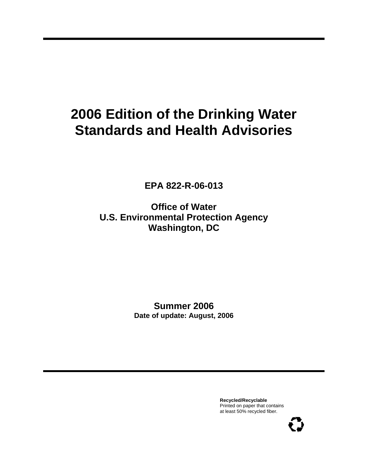## **2006 Edition of the Drinking Water Standards and Health Advisories**

**EPA 822-R-06-013**

**Office of Water U.S. Environmental Protection Agency Washington, DC**

> **Summer 2006 Date of update: August, 2006**

> > **Recycled/Recyclable** Printed on paper that contains at least 50% recycled fiber.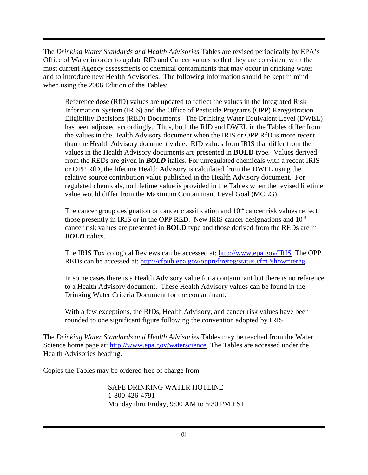The *Drinking Water Standards and Health Advisories* Tables are revised periodically by EPA's Office of Water in order to update RfD and Cancer values so that they are consistent with the most current Agency assessments of chemical contaminants that may occur in drinking water and to introduce new Health Advisories. The following information should be kept in mind when using the 2006 Edition of the Tables:

Reference dose (RfD) values are updated to reflect the values in the Integrated Risk Information System (IRIS) and the Office of Pesticide Programs (OPP) Reregistration Eligibility Decisions (RED) Documents. The Drinking Water Equivalent Level (DWEL) has been adjusted accordingly. Thus, both the RfD and DWEL in the Tables differ from the values in the Health Advisory document when the IRIS or OPP RfD is more recent than the Health Advisory document value. RfD values from IRIS that differ from the values in the Health Advisory documents are presented in **BOLD** type. Values derived from the REDs are given in *BOLD* italics. For unregulated chemicals with a recent IRIS or OPP RfD, the lifetime Health Advisory is calculated from the DWEL using the relative source contribution value published in the Health Advisory document. For regulated chemicals, no lifetime value is provided in the Tables when the revised lifetime value would differ from the Maximum Contaminant Level Goal (MCLG).

The cancer group designation or cancer classification and  $10<sup>-4</sup>$  cancer risk values reflect those presently in IRIS or in the OPP RED. New IRIS cancer designations and  $10^{-4}$ cancer risk values are presented in **BOLD** type and those derived from the REDs are in *BOLD* italics.

The IRIS Toxicological Reviews can be accessed at: http://www.epa.gov/IRIS. The OPP REDs can be accessed at: http://cfpub.epa.gov/oppref/rereg/status.cfm?show=rereg

In some cases there is a Health Advisory value for a contaminant but there is no reference to a Health Advisory document. These Health Advisory values can be found in the Drinking Water Criteria Document for the contaminant.

With a few exceptions, the RfDs, Health Advisory, and cancer risk values have been rounded to one significant figure following the convention adopted by IRIS.

The *Drinking Water Standards and Health Advisories* Tables may be reached from the Water Science home page at: http://www.epa.gov/waterscience. The Tables are accessed under the Health Advisories heading.

Copies the Tables may be ordered free of charge from

SAFE DRINKING WATER HOTLINE 1-800-426-4791 Monday thru Friday, 9:00 AM to 5:30 PM EST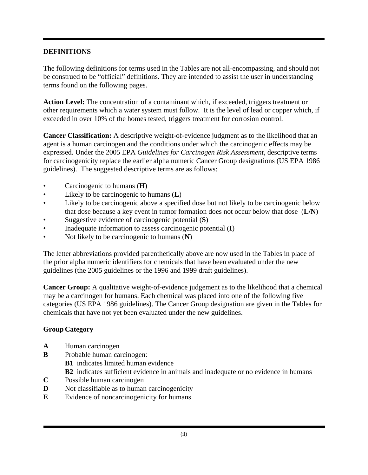#### **DEFINITIONS**

The following definitions for terms used in the Tables are not all-encompassing, and should not be construed to be "official" definitions. They are intended to assist the user in understanding terms found on the following pages.

**Action Level:** The concentration of a contaminant which, if exceeded, triggers treatment or other requirements which a water system must follow. It is the level of lead or copper which, if exceeded in over 10% of the homes tested, triggers treatment for corrosion control.

**Cancer Classification:** A descriptive weight-of-evidence judgment as to the likelihood that an agent is a human carcinogen and the conditions under which the carcinogenic effects may be expressed. Under the 2005 EPA *Guidelines for Carcinogen Risk Assessment*, descriptive terms for carcinogenicity replace the earlier alpha numeric Cancer Group designations (US EPA 1986 guidelines). The suggested descriptive terms are as follows:

- Carcinogenic to humans (**H**)
- Likely to be carcinogenic to humans (**L**)
- Likely to be carcinogenic above a specified dose but not likely to be carcinogenic below that dose because a key event in tumor formation does not occur below that dose (**L/N**)
- Suggestive evidence of carcinogenic potential (**S**)
- Inadequate information to assess carcinogenic potential (**I**)
- Not likely to be carcinogenic to humans (**N**)

The letter abbreviations provided parenthetically above are now used in the Tables in place of the prior alpha numeric identifiers for chemicals that have been evaluated under the new guidelines (the 2005 guidelines or the 1996 and 1999 draft guidelines).

**Cancer Group:** A qualitative weight-of-evidence judgement as to the likelihood that a chemical may be a carcinogen for humans. Each chemical was placed into one of the following five categories (US EPA 1986 guidelines). The Cancer Group designation are given in the Tables for chemicals that have not yet been evaluated under the new guidelines.

#### **Group Category**

- **A** Human carcinogen
- **B** Probable human carcinogen:
	- **B1** indicates limited human evidence
	- **B2** indicates sufficient evidence in animals and inadequate or no evidence in humans
- **C** Possible human carcinogen
- **D** Not classifiable as to human carcinogenicity
- **E** Evidence of noncarcinogenicity for humans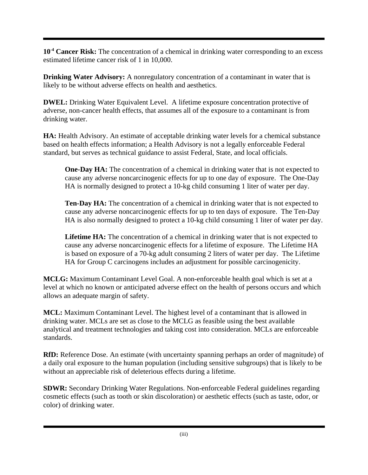**10-4 Cancer Risk:** The concentration of a chemical in drinking water corresponding to an excess estimated lifetime cancer risk of 1 in 10,000.

**Drinking Water Advisory:** A nonregulatory concentration of a contaminant in water that is likely to be without adverse effects on health and aesthetics.

**DWEL:** Drinking Water Equivalent Level. A lifetime exposure concentration protective of adverse, non-cancer health effects, that assumes all of the exposure to a contaminant is from drinking water.

**HA:** Health Advisory. An estimate of acceptable drinking water levels for a chemical substance based on health effects information; a Health Advisory is not a legally enforceable Federal standard, but serves as technical guidance to assist Federal, State, and local officials.

**One-Day HA:** The concentration of a chemical in drinking water that is not expected to cause any adverse noncarcinogenic effects for up to one day of exposure. The One-Day HA is normally designed to protect a 10-kg child consuming 1 liter of water per day.

**Ten-Day HA:** The concentration of a chemical in drinking water that is not expected to cause any adverse noncarcinogenic effects for up to ten days of exposure. The Ten-Day HA is also normally designed to protect a 10-kg child consuming 1 liter of water per day.

**Lifetime HA:** The concentration of a chemical in drinking water that is not expected to cause any adverse noncarcinogenic effects for a lifetime of exposure. The Lifetime HA is based on exposure of a 70-kg adult consuming 2 liters of water per day. The Lifetime HA for Group C carcinogens includes an adjustment for possible carcinogenicity.

**MCLG:** Maximum Contaminant Level Goal. A non-enforceable health goal which is set at a level at which no known or anticipated adverse effect on the health of persons occurs and which allows an adequate margin of safety.

**MCL:** Maximum Contaminant Level. The highest level of a contaminant that is allowed in drinking water. MCLs are set as close to the MCLG as feasible using the best available analytical and treatment technologies and taking cost into consideration. MCLs are enforceable standards.

**RfD:** Reference Dose. An estimate (with uncertainty spanning perhaps an order of magnitude) of a daily oral exposure to the human population (including sensitive subgroups) that is likely to be without an appreciable risk of deleterious effects during a lifetime.

**SDWR:** Secondary Drinking Water Regulations. Non-enforceable Federal guidelines regarding cosmetic effects (such as tooth or skin discoloration) or aesthetic effects (such as taste, odor, or color) of drinking water.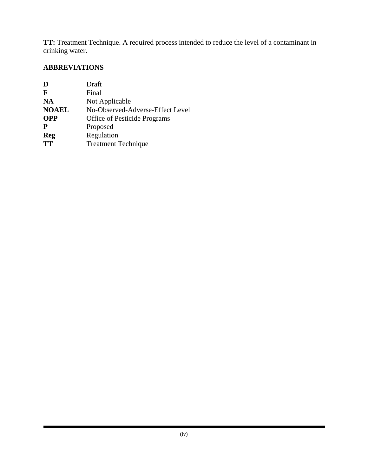**TT:** Treatment Technique. A required process intended to reduce the level of a contaminant in drinking water.

### **ABBREVIATIONS**

| D            | Draft                               |
|--------------|-------------------------------------|
| F            | Final                               |
| <b>NA</b>    | Not Applicable                      |
| <b>NOAEL</b> | No-Observed-Adverse-Effect Level    |
| <b>OPP</b>   | <b>Office of Pesticide Programs</b> |
| P            | Proposed                            |
| <b>Reg</b>   | Regulation                          |
| <b>TT</b>    | <b>Treatment Technique</b>          |
|              |                                     |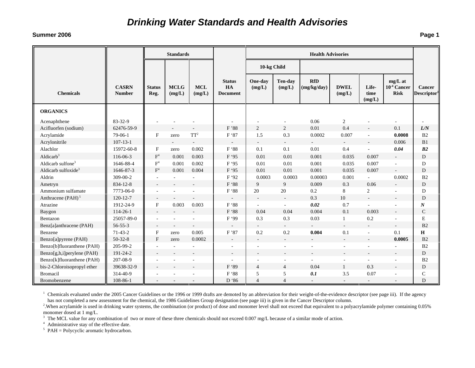#### **Summer 2006**

|                               |                               | <b>Standards</b>          |                          |                          |                                        | <b>Health Advisories</b> |                          |                           |                       |                          |                                              |                                          |
|-------------------------------|-------------------------------|---------------------------|--------------------------|--------------------------|----------------------------------------|--------------------------|--------------------------|---------------------------|-----------------------|--------------------------|----------------------------------------------|------------------------------------------|
|                               |                               |                           |                          |                          |                                        | 10-kg Child              |                          |                           |                       |                          |                                              |                                          |
| <b>Chemicals</b>              | <b>CASRN</b><br><b>Number</b> | <b>Status</b><br>Reg.     | <b>MCLG</b><br>(mg/L)    | <b>MCL</b><br>(mg/L)     | <b>Status</b><br>HA<br><b>Document</b> | One-day<br>(mg/L)        | Ten-day<br>(mg/L)        | <b>RfD</b><br>(mg/kg/day) | <b>DWEL</b><br>(mg/L) | Life-<br>time<br>(mg/L)  | $mg/L$ at<br>$10^{-4}$ Cancer<br><b>Risk</b> | <b>Cancer</b><br>Descriptor <sup>1</sup> |
| <b>ORGANICS</b>               |                               |                           |                          |                          |                                        |                          |                          |                           |                       |                          |                                              |                                          |
| Acenaphthene                  | 83-32-9                       |                           |                          |                          |                                        |                          |                          | 0.06                      | 2                     |                          |                                              |                                          |
| Acifluorfen (sodium)          | 62476-59-9                    |                           |                          | $\overline{a}$           | F'88                                   | $\overline{2}$           | $\overline{2}$           | $0.01\,$                  | 0.4                   |                          | 0.1                                          | L/N                                      |
| Acrylamide                    | 79-06-1                       | $\mathbf{F}$              | zero                     | $TT^2$                   | F '87                                  | 1.5                      | 0.3                      | 0.0002                    | 0.007                 |                          | 0.0008                                       | B2                                       |
| Acrylonitrile                 | $107 - 13 - 1$                |                           | $\overline{\phantom{a}}$ | $\overline{\phantom{a}}$ | $\overline{\phantom{a}}$               | $\sim$                   | $\sim$                   | $\sim$                    | $\sim$                | $\overline{\phantom{a}}$ | 0.006                                        | B1                                       |
| Alachlor                      | 15972-60-8                    | F                         | zero                     | 0.002                    | F '88                                  | 0.1                      | 0.1                      | 0.01                      | 0.4                   |                          | 0.04                                         | B2                                       |
| Aldicarb <sup>3</sup>         | 116-06-3                      | $\mathbf{F}^4$            | 0.001                    | 0.003                    | F '95                                  | 0.01                     | 0.01                     | 0.001                     | 0.035                 | 0.007                    | $\sim$                                       | D                                        |
| Aldicarb sulfone <sup>3</sup> | 1646-88-4                     | $\mathbf{F}^4$            | 0.001                    | 0.002                    | F '95                                  | 0.01                     | 0.01                     | 0.001                     | 0.035                 | 0.007                    |                                              | D                                        |
| Aldicarb sulfoxide $3$        | 1646-87-3                     | F <sup>4</sup>            | 0.001                    | 0.004                    | F '95                                  | 0.01                     | 0.01                     | 0.001                     | 0.035                 | 0.007                    | $\sim$                                       | D                                        |
| Aldrin                        | 309-00-2                      |                           |                          |                          | F '92                                  | 0.0003                   | 0.0003                   | 0.00003                   | 0.001                 | $\sim$                   | 0.0002                                       | B2                                       |
| Ametryn                       | 834-12-8                      |                           | ÷                        |                          | F '88                                  | $\overline{9}$           | 9                        | 0.009                     | 0.3                   | 0.06                     | $\sim$                                       | D                                        |
| Ammonium sulfamate            | 7773-06-0                     |                           | ä,                       | $\sim$                   | F '88                                  | 20                       | $20\,$                   | $0.2\,$                   | $8\,$                 | $\overline{2}$           |                                              | D                                        |
| Anthracene (PAH) <sup>5</sup> | $120 - 12 - 7$                | $\overline{\phantom{a}}$  |                          |                          | $\sim$                                 | $\overline{\phantom{a}}$ | $\sim$                   | 0.3                       | 10                    | $\sim$                   |                                              | $\mathbf D$                              |
| Atrazine                      | 1912-24-9                     | $\boldsymbol{\mathrm{F}}$ | 0.003                    | 0.003                    | F '88                                  |                          | $\sim$                   | 0.02                      | 0.7                   |                          |                                              | $\boldsymbol{N}$                         |
| Baygon                        | 114-26-1                      |                           | ÷                        |                          | F '88                                  | 0.04                     | 0.04                     | 0.004                     | 0.1                   | 0.003                    |                                              | $\mathbf C$                              |
| Bentazon                      | 25057-89-0                    |                           | ٠                        | $\sim$                   | F '99                                  | 0.3                      | 0.3                      | 0.03                      | $\mathbf{1}$          | 0.2                      |                                              | E                                        |
| Benz[a]anthracene (PAH)       | $56 - 55 - 3$                 |                           | $\overline{a}$           | $\overline{a}$           |                                        | $\sim$                   | $\sim$                   | $\sim$                    | $\sim$                |                          | $\sim$                                       | B <sub>2</sub>                           |
| Benzene                       | $71-43-2$                     | F                         | zero                     | 0.005                    | F'87                                   | 0.2                      | 0.2                      | 0.004                     | 0.1                   | $\sim$                   | 0.1                                          | H                                        |
| Benzo[a]pyrene (PAH)          | $50-32-8$                     | F                         | zero                     | 0.0002                   | $\overline{\phantom{a}}$               | $\overline{\phantom{a}}$ | $\sim$                   |                           | $\sim$                |                          | 0.0005                                       | B <sub>2</sub>                           |
| Benzo[b]fluoranthene (PAH)    | 205-99-2                      |                           |                          |                          |                                        |                          | $\overline{\phantom{a}}$ |                           |                       |                          |                                              | B2                                       |
| Benzo[g,h,i]perylene (PAH)    | 191-24-2                      |                           |                          |                          |                                        |                          |                          |                           |                       |                          |                                              | D                                        |
| Benzo[k]fluoranthene (PAH)    | 207-08-9                      |                           |                          |                          |                                        | $\overline{\phantom{a}}$ | $\overline{\phantom{a}}$ | $\sim$                    | $\sim$                |                          |                                              | B2                                       |
| bis-2-Chloroisopropyl ether   | 39638-32-9                    |                           |                          |                          | F '89                                  | $\overline{4}$           | $\overline{4}$           | 0.04                      | $\mathbf{1}$          | 0.3                      |                                              | D                                        |
| <b>Bromacil</b>               | 314-40-9                      |                           |                          | $\sim$                   | F '88                                  | 5                        | 5                        | 0.1                       | 3.5                   | 0.07                     |                                              | $\mathsf C$                              |
| Bromobenzene                  | 108-86-1                      |                           |                          |                          | D '86                                  | $\overline{4}$           | $\overline{4}$           | $\sim$                    |                       |                          |                                              | D                                        |

<sup>1</sup> Chemicals evaluated under the 2005 Cancer Guidelines or the 1996 or 1999 drafts are demoted by an abbreviation for their weight-of-the-evidence descriptor (see page iii). If the agency has not completed a new assessment for the chemical, the 1986 Guidelines Group designation (see page iii) is given in the Cancer Descriptor column.<br><sup>2</sup>. When acrylamide is used in drinking water systems, the combination (o

monomer dosed at 1 mg/L.

 $3$  The MCL value for any combination of two or more of these three chemicals should not exceed 0.007 mg/L because of a similar mode of action.

<sup>4</sup> Administrative stay of the effective date.

 $5$  PAH = Polycyclic aromatic hydrocarbon.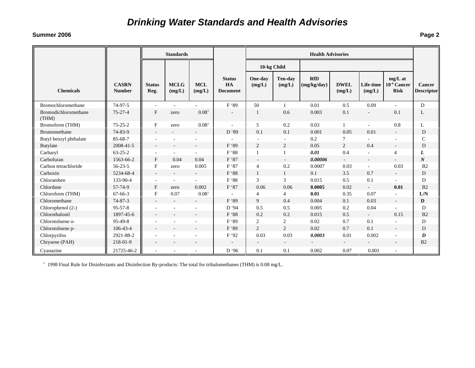#### **Summer 2006**

|                               |                               |                           | <b>Standards</b>         |                          |                                        |                          |                          | <b>Health Advisories</b>  |                       |                          |                                              |                             |
|-------------------------------|-------------------------------|---------------------------|--------------------------|--------------------------|----------------------------------------|--------------------------|--------------------------|---------------------------|-----------------------|--------------------------|----------------------------------------------|-----------------------------|
|                               |                               |                           |                          |                          |                                        | 10-kg Child              |                          |                           |                       |                          |                                              |                             |
| <b>Chemicals</b>              | <b>CASRN</b><br><b>Number</b> | <b>Status</b><br>Reg.     | <b>MCLG</b><br>(mg/L)    | <b>MCL</b><br>(mg/L)     | <b>Status</b><br>HA<br><b>Document</b> | One-day<br>(mg/L)        | <b>Ten-day</b><br>(mg/L) | <b>RfD</b><br>(mg/kg/day) | <b>DWEL</b><br>(mg/L) | Life-time<br>(mg/L)      | $mg/L$ at<br>$10^{-4}$ Cancer<br><b>Risk</b> | Cancer<br><b>Descriptor</b> |
| Bromochloromethane            | 74-97-5                       | ÷,                        |                          |                          | F '89                                  | 50                       | $\mathbf{1}$             | 0.01                      | 0.5                   | 0.09                     | $\sim$                                       | D                           |
| Bromodichloromethane<br>(THM) | $75 - 27 - 4$                 | $\mathbf F$               | zero                     | 0.08 <sup>1</sup>        | $\overline{\phantom{a}}$               | 1                        | 0.6                      | 0.003                     | 0.1                   |                          | 0.1                                          | L                           |
| Bromoform (THM)               | $75 - 25 - 2$                 | $\boldsymbol{\mathrm{F}}$ | zero                     | 0.08 <sup>1</sup>        |                                        | 5                        | 0.2                      | 0.03                      | $\mathbf{1}$          | $\sim$                   | 0.8                                          | L                           |
| <b>Bromomethane</b>           | 74-83-9                       |                           |                          |                          | D '89                                  | 0.1                      | 0.1                      | 0.001                     | 0.05                  | 0.01                     |                                              | D                           |
| Butyl benzyl phthalate        | 85-68-7                       |                           |                          |                          |                                        |                          | $\sim$                   | 0.2                       | 7                     |                          | ÷.                                           | $\mathsf{C}$                |
| Butylate                      | 2008-41-5                     |                           |                          |                          | F '89                                  | $\overline{2}$           | $\overline{2}$           | 0.05                      | 2                     | 0.4                      | $\overline{\phantom{a}}$                     | D                           |
| Carbaryl                      | $63 - 25 - 2$                 |                           |                          |                          | F '88                                  | $\mathbf{1}$             | $\mathbf{1}$             | 0.01                      | 0.4                   | $\overline{\phantom{a}}$ | $\overline{4}$                               | L                           |
| Carbofuran                    | 1563-66-2                     | $\mathbf F$               | 0.04                     | 0.04                     | F '87                                  |                          |                          | 0.00006                   |                       |                          |                                              | $\boldsymbol{N}$            |
| Carbon tetrachloride          | $56 - 23 - 5$                 | $\rm F$                   | zero                     | 0.005                    | F '87                                  | $\overline{4}$           | 0.2                      | 0.0007                    | 0.03                  | $\sim$                   | 0.03                                         | B <sub>2</sub>              |
| Carboxin                      | 5234-68-4                     | $\overline{\phantom{a}}$  | $\overline{\phantom{a}}$ | $\overline{\phantom{a}}$ | F '88                                  | $\mathbf{1}$             | $\mathbf{1}$             | 0.1                       | 3.5                   | 0.7                      | $\overline{\phantom{a}}$                     | D                           |
| Chloramben                    | 133-90-4                      | $\overline{\phantom{a}}$  | $\sim$                   | $\sim$                   | F '88                                  | 3                        | 3                        | 0.015                     | 0.5                   | 0.1                      | $\sim$                                       | D                           |
| Chlordane                     | 57-74-9                       | $\mathbf{F}$              | zero                     | 0.002                    | F '87                                  | 0.06                     | 0.06                     | 0.0005                    | 0.02                  | $\sim$                   | 0.01                                         | B <sub>2</sub>              |
| Chloroform (THM)              | $67 - 66 - 3$                 | $\mathbf F$               | 0.07                     | 0.08 <sup>1</sup>        |                                        | 4                        | 4                        | 0.01                      | 0.35                  | 0.07                     |                                              | ${\rm L/N}$                 |
| Chloromethane                 | $74 - 87 - 3$                 | $\sim$                    | $\overline{\phantom{a}}$ | $\overline{\phantom{a}}$ | F '89                                  | 9                        | 0.4                      | 0.004                     | 0.1                   | 0.03                     | $\overline{\phantom{a}}$                     | D                           |
| Chlorophenol (2-)             | $95 - 57 - 8$                 |                           |                          |                          | D '94                                  | 0.5                      | 0.5                      | 0.005                     | 0.2                   | 0.04                     |                                              | D                           |
| Chlorothalonil                | 1897-45-6                     |                           |                          |                          | F '88                                  | 0.2                      | 0.2                      | 0.015                     | 0.5                   | $\omega_{\rm{eff}}$      | 0.15                                         | B <sub>2</sub>              |
| Chlorotoluene o-              | $95-49-8$                     |                           |                          |                          | F '89                                  | 2                        | $\overline{c}$           | 0.02                      | 0.7                   | 0.1                      |                                              | D                           |
| Chlorotoluene p-              | 106-43-4                      |                           |                          |                          | F '89                                  | 2                        | 2                        | 0.02                      | 0.7                   | 0.1                      | $\overline{\phantom{a}}$                     | D                           |
| Chlorpyrifos                  | 2921-88-2                     |                           |                          |                          | F '92                                  | 0.03                     | 0.03                     | 0.0003                    | 0.01                  | 0.002                    | ٠                                            | D                           |
| Chrysene (PAH)                | 218-01-9                      |                           |                          |                          |                                        | $\overline{\phantom{a}}$ | $\sim$                   | $\overline{a}$            | $\sim$                |                          | $\overline{\phantom{a}}$                     | B2                          |
| Cyanazine                     | 21725-46-2                    | $\overline{\phantom{a}}$  |                          |                          | D '96                                  | 0.1                      | 0.1                      | 0.002                     | 0.07                  | 0.001                    |                                              |                             |

1 1998 Final Rule for Disinfectants and Disinfection By-products: The total for trihalomethanes (THM) is 0.08 mg/L.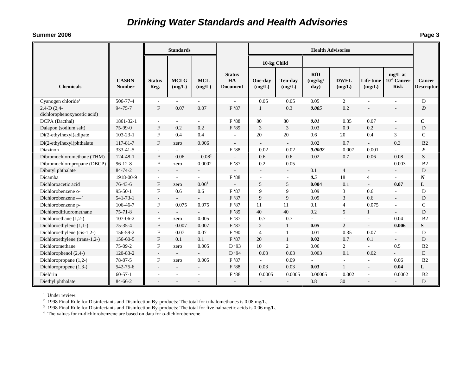#### **Summer 2006**

|                                             |                               |                           | <b>Standards</b>         |                      |                                        | <b>Health Advisories</b> |                          |                               |                       |                             |                                              |                                    |
|---------------------------------------------|-------------------------------|---------------------------|--------------------------|----------------------|----------------------------------------|--------------------------|--------------------------|-------------------------------|-----------------------|-----------------------------|----------------------------------------------|------------------------------------|
|                                             |                               |                           |                          |                      |                                        | 10-kg Child              |                          |                               |                       |                             |                                              |                                    |
| <b>Chemicals</b>                            | <b>CASRN</b><br><b>Number</b> | <b>Status</b><br>Reg.     | <b>MCLG</b><br>(mg/L)    | <b>MCL</b><br>(mg/L) | <b>Status</b><br>HA<br><b>Document</b> | One-day<br>(mg/L)        | <b>Ten-day</b><br>(mg/L) | <b>RfD</b><br>(mg/kg)<br>day) | <b>DWEL</b><br>(mg/L) | Life-time<br>(mg/L)         | $mg/L$ at<br>$10^{-4}$ Cancer<br><b>Risk</b> | <b>Cancer</b><br><b>Descriptor</b> |
| Cyanogen chloride <sup>1</sup>              | 506-77-4                      |                           |                          | ÷.                   | ä,                                     | 0.05                     | 0.05                     | 0.05                          | $\overline{2}$        | $\sim$                      |                                              | D                                  |
| $2,4-D(2,4-$<br>dichlorophenoxyacetic acid) | 94-75-7                       | $\mathbf{F}$              | 0.07                     | 0.07                 | F '87                                  | -1                       | 0.3                      | 0.005                         | 0.2                   |                             | $\sim$                                       | $\boldsymbol{D}$                   |
| DCPA (Dacthal)                              | 1861-32-1                     | $\overline{\phantom{a}}$  | ÷                        | $\overline{a}$       | F '88                                  | 80                       | 80                       | 0.01                          | 0.35                  | 0.07                        | $\overline{a}$                               | $\boldsymbol{C}$                   |
| Dalapon (sodium salt)                       | $75-99-0$                     | $F_{\rm}$                 | 0.2                      | 0.2                  | F '89                                  | 3                        | 3                        | 0.03                          | 0.9                   | 0.2                         | $\sim$                                       | D                                  |
| Di(2-ethylhexyl)adipate                     | $103 - 23 - 1$                | F                         | 0.4                      | 0.4                  |                                        | 20                       | 20                       | 0.6                           | 20                    | 0.4                         | 3                                            | $\mathsf{C}$                       |
| Di(2-ethylhexyl)phthalate                   | 117-81-7                      | $\mathbf{F}$              | zero                     | 0.006                | $\sim$                                 |                          | $\sim$                   | 0.02                          | 0.7                   | $\mathcal{L}_{\mathcal{A}}$ | 0.3                                          | B2                                 |
| Diazinon                                    | 333-41-5                      |                           |                          |                      | F '88                                  | 0.02                     | 0.02                     | 0.0002                        | 0.007                 | 0.001                       | ÷,                                           | $\boldsymbol{E}$                   |
| Dibromochloromethane (THM)                  | 124-48-1                      | F                         | 0.06                     | $0.08^{2}$           |                                        | 0.6                      | 0.6                      | 0.02                          | 0.7                   | 0.06                        | 0.08                                         | S                                  |
| Dibromochloropropane (DBCP)                 | $96 - 12 - 8$                 | $\mathbf{F}$              | zero                     | 0.0002               | F'87                                   | 0.2                      | 0.05                     | $\mathcal{L}$                 | $\mathbf{r}$          | $\sim$                      | 0.003                                        | B2                                 |
| Dibutyl phthalate                           | 84-74-2                       | $\sim$                    | $\sim$                   |                      |                                        | $\overline{\phantom{a}}$ | $\sim$                   | 0.1                           | $\overline{4}$        | $\overline{\phantom{a}}$    |                                              | D                                  |
| Dicamba                                     | 1918-00-9                     |                           | $\blacksquare$           | $\overline{a}$       | F '88                                  | ÷,                       | $\overline{\phantom{a}}$ | 0.5                           | 18                    | 4                           | $\sim$                                       | $\boldsymbol{N}$                   |
| Dichloroacetic acid                         | $76 - 43 - 6$                 | $_{\rm F}$                | zero                     | $0.06^3$             | $\overline{\phantom{a}}$               | 5                        | 5                        | 0.004                         | 0.1                   | $\overline{a}$              | 0.07                                         | L                                  |
| Dichlorobenzene o-                          | $95 - 50 - 1$                 | $\mathbf{F}$              | 0.6                      | 0.6                  | F '87                                  | 9                        | 9                        | 0.09                          | 3                     | 0.6                         | ÷.                                           | D                                  |
| Dichlorobenzene $-$ <sup>4</sup>            | 541-73-1                      | $\overline{\phantom{a}}$  |                          |                      | F '87                                  | 9                        | $\overline{9}$           | 0.09                          | 3                     | 0.6                         | $\sim$                                       | D                                  |
| Dichlorobenzene p-                          | 106-46-7                      | $\boldsymbol{\mathrm{F}}$ | 0.075                    | 0.075                | F '87                                  | 11                       | 11                       | 0.1                           | $\overline{4}$        | 0.075                       | $\overline{a}$                               | $\mathsf{C}$                       |
| Dichlorodifluoromethane                     | $75 - 71 - 8$                 |                           |                          |                      | F'89                                   | 40                       | 40                       | 0.2                           | $\overline{5}$        | $\mathbf{1}$                | $\sim$                                       | D                                  |
| Dichloroethane (1,2-)                       | 107-06-2                      | F                         | zero                     | 0.005                | F '87                                  | 0.7                      | 0.7                      |                               |                       |                             | 0.04                                         | B <sub>2</sub>                     |
| Dichloroethylene (1,1-)                     | $75 - 35 - 4$                 | $\mathbf{F}$              | 0.007                    | 0.007                | F '87                                  | $\overline{c}$           | $\mathbf{1}$             | 0.05                          | $\overline{c}$        | $\overline{\phantom{a}}$    | 0.006                                        | S                                  |
| Dichloroethylene (cis-1,2-)                 | 156-59-2                      | $\mathbf{F}$              | 0.07                     | 0.07                 | F '90                                  | $\overline{4}$           | $\mathbf{1}$             | 0.01                          | 0.35                  | 0.07                        | $\sim$                                       | D                                  |
| Dichloroethylene (trans-1,2-)               | 156-60-5                      | $\mathbf{F}$              | 0.1                      | 0.1                  | F '87                                  | 20                       | $\mathbf{1}$             | 0.02                          | 0.7                   | 0.1                         | $\overline{\phantom{a}}$                     | D                                  |
| Dichloromethane                             | 75-09-2                       | F                         | zero                     | 0.005                | D '93                                  | 10                       | $\overline{c}$           | 0.06                          | $\overline{2}$        | $\overline{a}$              | 0.5                                          | B <sub>2</sub>                     |
| Dichlorophenol (2,4-)                       | 120-83-2                      | $\overline{\phantom{a}}$  | $\overline{\phantom{a}}$ |                      | D '94                                  | 0.03                     | 0.03                     | 0.003                         | 0.1                   | 0.02                        | $\mathcal{L}^{\pm}$                          | $\mathbf E$                        |
| Dichloropropane (1,2-)                      | 78-87-5                       | F                         | zero                     | 0.005                | F'87                                   |                          | 0.09                     |                               | $\sim$                | $\overline{a}$              | 0.06                                         | B <sub>2</sub>                     |
| Dichloropropene (1,3-)                      | 542-75-6                      |                           | $\overline{\phantom{a}}$ | $\blacksquare$       | F '88                                  | 0.03                     | 0.03                     | 0.03                          | $\mathbf{1}$          |                             | 0.04                                         | L                                  |
| Dieldrin                                    | $60 - 57 - 1$                 |                           | ÷,                       | ÷.                   | F '88                                  | 0.0005                   | 0.0005                   | 0.00005                       | 0.002                 | $\sim$                      | 0.0002                                       | B2                                 |
| Diethyl phthalate                           | 84-66-2                       |                           |                          |                      | $\overline{a}$                         |                          | $\overline{a}$           | 0.8                           | 30                    |                             |                                              | D                                  |

<sup>1</sup> Under review.

<sup>2</sup> 1998 Final Rule for Disinfectants and Disinfection By-products: The total for trihalomethanes is 0.08 mg/L.<br><sup>3</sup> 1998 Final Rule for Disinfectants and Disinfection By-products: The total for five haloacetic acids is 0.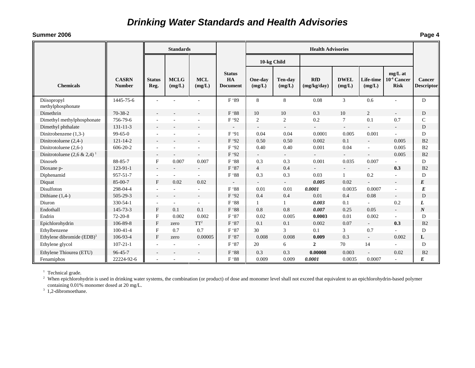#### **Summer 2006**

|                                            |                               |                          | <b>Standards</b>      |                          |                                        | <b>Health Advisories</b> |                          |                           |                          |                          |                                            |                             |
|--------------------------------------------|-------------------------------|--------------------------|-----------------------|--------------------------|----------------------------------------|--------------------------|--------------------------|---------------------------|--------------------------|--------------------------|--------------------------------------------|-----------------------------|
|                                            |                               |                          |                       |                          |                                        | 10-kg Child              |                          |                           |                          |                          |                                            |                             |
| <b>Chemicals</b>                           | <b>CASRN</b><br><b>Number</b> | <b>Status</b><br>Reg.    | <b>MCLG</b><br>(mg/L) | <b>MCL</b><br>(mg/L)     | <b>Status</b><br>HA<br><b>Document</b> | One-day<br>(mg/L)        | Ten-day<br>(mg/L)        | <b>RfD</b><br>(mg/kg/day) | <b>DWEL</b><br>(mg/L)    | Life-time<br>(mg/L)      | mg/L at<br>$10^{-4}$ Cancer<br><b>Risk</b> | Cancer<br><b>Descriptor</b> |
| Diisopropyl<br>methylphosphonate           | 1445-75-6                     |                          |                       |                          | F '89                                  | 8                        | 8                        | 0.08                      | $\mathfrak{Z}$           | 0.6                      |                                            | D                           |
| Dimethrin                                  | $70 - 38 - 2$                 |                          |                       |                          | F '88                                  | 10                       | 10                       | 0.3                       | 10                       | 2                        |                                            | D                           |
| Dimethyl methylphosphonate                 | 756-79-6                      |                          |                       | $\sim$                   | F '92                                  | $\overline{2}$           | $\sqrt{2}$               | 0.2                       | $\tau$                   | 0.1                      | 0.7                                        | $\mathbf C$                 |
| Dimethyl phthalate                         | $131 - 11 - 3$                |                          |                       | $\overline{a}$           |                                        | $\sim$                   | $\overline{\phantom{a}}$ |                           | $\sim$                   | $\blacksquare$           | $\overline{\phantom{a}}$                   | D                           |
| Dinitrobenzene (1,3-)                      | $99 - 65 - 0$                 |                          |                       | $\sim$                   | F'91                                   | 0.04                     | 0.04                     | 0.0001                    | 0.005                    | 0.001                    |                                            | D                           |
| Dinitrotoluene (2,4-)                      | $121 - 14 - 2$                |                          |                       | $\overline{a}$           | F'92                                   | 0.50                     | 0.50                     | 0.002                     | 0.1                      | $\sim$                   | 0.005                                      | B2                          |
| Dinitrotoluene (2,6-)                      | $606 - 20 - 2$                |                          | ÷,                    | $\sim$                   | F '92                                  | 0.40                     | 0.40                     | 0.001                     | 0.04                     | $\overline{\phantom{a}}$ | 0.005                                      | B2                          |
| Dinitrotoluene $(2,6 \& 2,4)$ <sup>1</sup> |                               | $\overline{\phantom{a}}$ |                       | $\overline{\phantom{a}}$ | F '92                                  |                          | $\overline{\phantom{a}}$ |                           | $\overline{\phantom{a}}$ |                          | 0.005                                      | B2                          |
| Dinoseb                                    | 88-85-7                       | $_{\rm F}$               | 0.007                 | 0.007                    | F '88                                  | 0.3                      | 0.3                      | 0.001                     | 0.035                    | 0.007                    | $\sim$                                     | D                           |
| Dioxane p-                                 | $123 - 91 - 1$                | $\overline{\phantom{a}}$ |                       | $\sim$                   | F '87                                  | $\overline{4}$           | 0.4                      |                           |                          |                          | 0.3                                        | B2                          |
| Diphenamid                                 | 957-51-7                      | ٠                        |                       |                          | F '88                                  | 0.3                      | 0.3                      | 0.03                      | 1                        | 0.2                      |                                            | D                           |
| Diquat                                     | 85-00-7                       | $\mathbf{F}$             | 0.02                  | 0.02                     |                                        |                          | $\sim$                   | 0.005                     | 0.02                     |                          | $\blacksquare$                             | $E_{\rm}$                   |
| Disulfoton                                 | 298-04-4                      |                          |                       | ÷.                       | F '88                                  | 0.01                     | 0.01                     | 0.0001                    | 0.0035                   | 0.0007                   | ÷.                                         | E                           |
| Dithiane $(1,4-)$                          | 505-29-3                      | ٠                        |                       | $\sim$                   | F '92                                  | 0.4                      | 0.4                      | 0.01                      | 0.4                      | 0.08                     | $\overline{\phantom{a}}$                   | D                           |
| Diuron                                     | 330-54-1                      | ٠                        | $\sim$                | ÷,                       | F '88                                  | 1                        | $\mathbf{1}$             | 0.003                     | 0.1                      | $\overline{\phantom{0}}$ | 0.2                                        | L                           |
| Endothall                                  | $145 - 73 - 3$                | $\mathbf{F}$             | 0.1                   | 0.1                      | F '88                                  | 0.8                      | 0.8                      | 0.007                     | 0.25                     | 0.05                     | $\overline{\phantom{a}}$                   | $\boldsymbol{N}$            |
| Endrin                                     | $72 - 20 - 8$                 | $\mathbf F$              | 0.002                 | 0.002                    | F '87                                  | 0.02                     | 0.005                    | 0.0003                    | 0.01                     | 0.002                    | ٠                                          | D                           |
| Epichlorohydrin                            | 106-89-8                      | $\mathbf{F}$             | zero                  | $\mathbf{T}\mathbf{T}^2$ | F '87                                  | 0.1                      | 0.1                      | 0.002                     | 0.07                     | $\overline{a}$           | 0.3                                        | B2                          |
| Ethylbenzene                               | $100-41-4$                    | $\mathbf{F}$             | 0.7                   | 0.7                      | F '87                                  | 30                       | 3                        | 0.1                       | 3                        | 0.7                      |                                            | D                           |
| Ethylene dibromide $(EDB)^3$               | 106-93-4                      | $\mathbf{F}$             | zero                  | 0.00005                  | F '87                                  | 0.008                    | 0.008                    | 0.009                     | 0.3                      | $\sim$                   | 0.002                                      | L                           |
| Ethylene glycol                            | $107 - 21 - 1$                |                          |                       | $\overline{\phantom{a}}$ | F '87                                  | 20                       | 6                        | $\overline{2}$            | 70                       | 14                       | ٠                                          | D                           |
| Ethylene Thiourea (ETU)                    | $96 - 45 - 7$                 |                          |                       |                          | F '88                                  | 0.3                      | 0.3                      | 0.00008                   | 0.003                    |                          | 0.02                                       | B <sub>2</sub>              |
| Fenamiphos                                 | 22224-92-6                    |                          |                       | $\sim$                   | $\rm F$ '88                            | 0.009                    | 0.009                    | 0.0001                    | 0.0035                   | 0.0007                   | $\overline{\phantom{a}}$                   | E                           |

<sup>1</sup> Technical grade.

<sup>2</sup> When epichlorohydrin is used in drinking water systems, the combination (or product) of dose and monomer level shall not exceed that equivalent to an epichlorohydrin-based polymer containing 0.01% monomer dosed at 20 mg/L.

<sup>3</sup> 1,2-dibromoethane.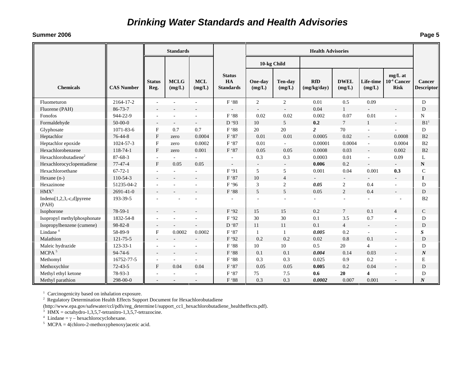#### **Summer 2006**

|                                       |                   |                           | <b>Standards</b>         |                      |                                         | <b>Health Advisories</b> |                          |                           |                       |                          |                                         |                                    |
|---------------------------------------|-------------------|---------------------------|--------------------------|----------------------|-----------------------------------------|--------------------------|--------------------------|---------------------------|-----------------------|--------------------------|-----------------------------------------|------------------------------------|
|                                       |                   |                           |                          |                      |                                         | 10-kg Child              |                          |                           |                       |                          |                                         |                                    |
| <b>Chemicals</b>                      | <b>CAS Number</b> | <b>Status</b><br>Reg.     | <b>MCLG</b><br>(mg/L)    | <b>MCL</b><br>(mg/L) | <b>Status</b><br>HA<br><b>Standards</b> | One-day<br>(mg/L)        | <b>Ten-day</b><br>(mg/L) | <b>RfD</b><br>(mg/kg/day) | <b>DWEL</b><br>(mg/L) | Life-time<br>(mg/L)      | mg/L at<br>$10-4$ Cancer<br><b>Risk</b> | <b>Cancer</b><br><b>Descriptor</b> |
| Fluometuron                           | 2164-17-2         | $\sim$                    |                          |                      | F '88                                   | $\overline{2}$           | $\overline{c}$           | 0.01                      | 0.5                   | 0.09                     |                                         | D                                  |
| Fluorene (PAH)                        | 86-73-7           |                           |                          |                      |                                         | $\sim$                   | $\overline{\phantom{a}}$ | 0.04                      | $\mathbf{1}$          |                          |                                         | D                                  |
| Fonofos                               | 944-22-9          |                           |                          |                      | F '88                                   | 0.02                     | 0.02                     | 0.002                     | 0.07                  | 0.01                     | ÷.                                      | N                                  |
| Formaldehyde                          | $50-00-0$         | $\overline{\phantom{a}}$  | $\sim$                   | $\sim$               | D '93                                   | 10                       | 5                        | 0.2                       | $\overline{7}$        | $\mathbf{1}$             | $\overline{\phantom{a}}$                | B1 <sup>1</sup>                    |
| Glyphosate                            | 1071-83-6         | $\boldsymbol{\mathrm{F}}$ | 0.7                      | 0.7                  | F '88                                   | 20                       | 20                       | $\overline{2}$            | 70                    | $\overline{\phantom{a}}$ | $\sim$                                  | D                                  |
| Heptachlor                            | 76-44-8           | F                         | zero                     | 0.0004               | F '87                                   | 0.01                     | 0.01                     | 0.0005                    | 0.02                  | $\overline{a}$           | 0.0008                                  | B2                                 |
| Heptachlor epoxide                    | 1024-57-3         | F                         | zero                     | 0.0002               | F '87                                   | 0.01                     |                          | 0.00001                   | 0.0004                | ÷,                       | 0.0004                                  | B2                                 |
| Hexachlorobenzene                     | 118-74-1          | $\mathbf{F}$              | zero                     | 0.001                | F '87                                   | 0.05                     | 0.05                     | 0.0008                    | 0.03                  |                          | 0.002                                   | B <sub>2</sub>                     |
| Hexachlorobutadiene <sup>2</sup>      | $87 - 68 - 3$     | $\sim$                    | ÷.                       |                      |                                         | 0.3                      | 0.3                      | 0.0003                    | 0.01                  | $\overline{\phantom{a}}$ | 0.09                                    | L                                  |
| Hexachlorocyclopentadiene             | $77 - 47 - 4$     | F                         | 0.05                     | 0.05                 | $\overline{\phantom{a}}$                | $\sim$                   | $\sim$                   | 0.006                     | 0.2                   |                          | $\rightarrow$                           | ${\bf N}$                          |
| Hexachloroethane                      | $67 - 72 - 1$     | $\overline{a}$            |                          |                      | F '91                                   | 5                        | 5                        | 0.001                     | 0.04                  | 0.001                    | 0.3                                     | $\mathbf C$                        |
| Hexane $(n-)$                         | $110-54-3$        | $\overline{\phantom{a}}$  |                          | $\sim$               | F '87                                   | 10                       | $\overline{4}$           |                           | $\sim$                |                          | $\sim$                                  | $\mathbf I$                        |
| Hexazinone                            | 51235-04-2        | $\overline{a}$            |                          |                      | F '96                                   | 3                        | $\boldsymbol{2}$         | 0.05                      | $\overline{c}$        | 0.4                      | $\overline{a}$                          | D                                  |
| HMX <sup>3</sup>                      | $2691 - 41 - 0$   | $\sim$                    |                          |                      | F '88                                   | 5                        | 5                        | 0.05                      | 2                     | 0.4                      |                                         | D                                  |
| Indeno $[1,2,3,-c,d]$ pyrene<br>(PAH) | 193-39-5          |                           |                          |                      |                                         |                          |                          |                           | ÷                     |                          |                                         | B <sub>2</sub>                     |
| Isophorone                            | $78 - 59 - 1$     |                           |                          |                      | F '92                                   | 15                       | 15                       | 0.2                       | $\tau$                | 0.1                      | $\overline{4}$                          | $\mathsf{C}$                       |
| Isopropyl methylphosphonate           | 1832-54-8         | $\sim$                    |                          |                      | F '92                                   | 30                       | 30                       | 0.1                       | 3.5                   | 0.7                      | $\overline{a}$                          | D                                  |
| Isopropylbenzene (cumene)             | 98-82-8           | $\overline{\phantom{a}}$  |                          |                      | D '87                                   | 11                       | 11                       | 0.1                       | $\overline{4}$        | $\overline{\phantom{a}}$ | $\overline{\phantom{a}}$                | D                                  |
| Lindane <sup>4</sup>                  | 58-89-9           | F                         | 0.0002                   | 0.0002               | F '87                                   | 1                        | 1                        | 0.005                     | 0.2                   | ÷                        | ÷                                       | $\boldsymbol{S}$                   |
| Malathion                             | 121-75-5          | $\overline{\phantom{a}}$  |                          |                      | F '92                                   | 0.2                      | 0.2                      | 0.02                      | 0.8                   | 0.1                      | $\overline{\phantom{a}}$                | D                                  |
| Maleic hydrazide                      | $123 - 33 - 1$    | $\sim$                    | $\overline{\phantom{a}}$ |                      | F '88                                   | 10                       | 10                       | 0.5                       | 20                    | $\overline{4}$           | $\overline{a}$                          | D                                  |
| $\rm MCPA$ $^5$                       | $94 - 74 - 6$     | $\overline{\phantom{a}}$  |                          |                      | F '88                                   | 0.1                      | 0.1                      | 0.004                     | 0.14                  | 0.03                     | $\overline{\phantom{a}}$                | $\boldsymbol{N}$                   |
| Methomyl                              | 16752-77-5        | $\sim$                    |                          |                      | F '88                                   | 0.3                      | 0.3                      | 0.025                     | 0.9                   | 0.2                      |                                         | E                                  |
| Methoxychlor                          | $72 - 43 - 5$     | F                         | 0.04                     | 0.04                 | F '87                                   | 0.05                     | 0.05                     | 0.005                     | 0.2                   | 0.04                     |                                         | D                                  |
| Methyl ethyl ketone                   | 78-93-3           | ÷,                        |                          |                      | F '87                                   | 75                       | 7.5                      | 0.6                       | 20                    | 4                        |                                         | D                                  |
| Methyl parathion                      | 298-00-0          | $\overline{\phantom{a}}$  |                          |                      | F '88                                   | 0.3                      | 0.3                      | 0.0002                    | 0.007                 | 0.001                    | $\overline{\phantom{a}}$                | $\boldsymbol{N}$                   |

<sup>1</sup> Carcinogenicity based on inhalation exposure.

<sup>2</sup> Regulatory Determination Health Effects Support Document for Hexachlorobutadiene

(http://www.epa.gov/safewater/ccl/pdfs/reg\_determine1/support\_cc1\_hexachlorobutadiene\_healtheffects.pdf).

 $3 \text{ HMX} = \text{octahydro-1,3,5,7-tetranitro-1,3,5,7-tetrazocine}.$ 

<sup>4</sup> Lindane = γ − hexachlorocyclohexane.<br><sup>5</sup> MCPA = 4(chloro-2-methoxyphenoxy)acetic acid.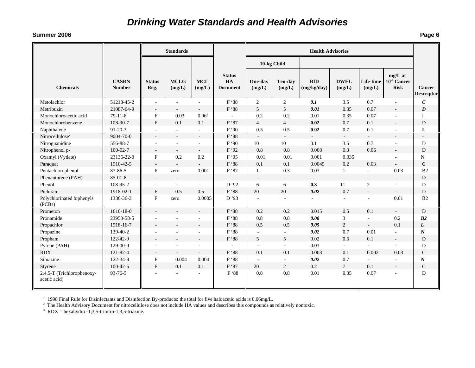#### **Summer 2006**

|                                            |                               |                           | <b>Standards</b>         |                          |                                        | <b>Health Advisories</b> |                             |                           |                          |                          |                                              |                                    |
|--------------------------------------------|-------------------------------|---------------------------|--------------------------|--------------------------|----------------------------------------|--------------------------|-----------------------------|---------------------------|--------------------------|--------------------------|----------------------------------------------|------------------------------------|
|                                            |                               |                           |                          |                          |                                        | 10-kg Child              |                             |                           |                          |                          |                                              |                                    |
| <b>Chemicals</b>                           | <b>CASRN</b><br><b>Number</b> | <b>Status</b><br>Reg.     | <b>MCLG</b><br>(mg/L)    | <b>MCL</b><br>(mg/L)     | <b>Status</b><br>HA<br><b>Document</b> | One-day<br>(mg/L)        | <b>Ten-day</b><br>(mg/L)    | <b>RfD</b><br>(mg/kg/day) | <b>DWEL</b><br>(mg/L)    | Life-time<br>(mg/L)      | $mg/L$ at<br>$10^{-4}$ Cancer<br><b>Risk</b> | <b>Cancer</b><br><b>Descriptor</b> |
| Metolachlor                                | 51218-45-2                    | $\sim$                    |                          | $\sim$                   | F '88                                  | $\overline{2}$           | $\overline{2}$              | 0.1                       | 3.5                      | 0.7                      | $\overline{a}$                               | $\mathcal{C}_{0}$                  |
| Metribuzin                                 | 21087-64-9                    | $\overline{\phantom{a}}$  |                          | $\sim$                   | F '88                                  | 5                        | 5                           | 0.01                      | 0.35                     | 0.07                     |                                              | $\boldsymbol{D}$                   |
| Monochloroacetic acid                      | $79-11-8$                     | $\boldsymbol{\mathrm{F}}$ | 0.03                     | $0.06^{\circ}$           |                                        | 0.2                      | 0.2                         | 0.01                      | 0.35                     | 0.07                     | $\overline{a}$                               | T                                  |
| Monochlorobenzene                          | 108-90-7                      | $\mathbf{F}$              | 0.1                      | 0.1                      | F '87                                  | $\overline{4}$           | $\overline{4}$              | 0.02                      | 0.7                      | 0.1                      |                                              | D                                  |
| Naphthalene                                | $91 - 20 - 3$                 | $\sim$                    | $\sim$                   | $\sim$                   | F'90                                   | 0.5                      | 0.5                         | 0.02                      | 0.7                      | 0.1                      | $\sim$                                       | $\bf{I}$                           |
| Nitrocellulose <sup>2</sup>                | 9004-70-0                     | $\overline{\phantom{a}}$  | $\blacksquare$           | $\rightarrow$            | F '88                                  | $\sim$                   | $\sim$                      | $\sim$                    | $\sim$                   | $\sim$                   | $\overline{\phantom{a}}$                     | $\overline{\phantom{a}}$           |
| Nitroguanidine                             | 556-88-7                      | $\overline{\phantom{a}}$  | $\sim$                   | $\sim$                   | F'90                                   | 10 <sup>10</sup>         | 10                          | 0.1                       | 3.5                      | 0.7                      | $\sim$                                       | ${\bf D}$                          |
| Nitrophenol p-                             | $100 - 02 - 7$                | $\mathcal{L}$             | $\overline{\phantom{a}}$ | $\overline{\phantom{a}}$ | F '92                                  | 0.8                      | 0.8                         | 0.008                     | 0.3                      | 0.06                     | ÷                                            | D                                  |
| Oxamyl (Vydate)                            | 23135-22-0                    | $\mathbf F$               | 0.2                      | 0.2                      | F'05                                   | 0.01                     | 0.01                        | 0.001                     | 0.035                    |                          |                                              | N                                  |
| Paraquat                                   | 1910-42-5                     | $\overline{\phantom{a}}$  |                          | $\sim$                   | $\mathrm{F}$ '88                       | 0.1                      | 0.1                         | 0.0045                    | 0.2                      | 0.03                     | $\equiv$                                     | $\mathbf C$                        |
| Pentachlorophenol                          | 87-86-5                       | $\boldsymbol{\mathrm{F}}$ | zero                     | 0.001                    | F '87                                  | $\mathbf{1}$             | 0.3                         | 0.03                      | $\mathbf{1}$             | $\sim$                   | 0.03                                         | B <sub>2</sub>                     |
| Phenanthrene (PAH)                         | $85-01-8$                     | $\overline{\phantom{a}}$  |                          | $\overline{\phantom{a}}$ |                                        | $\overline{\phantom{a}}$ |                             |                           | $\overline{\phantom{a}}$ | $\rightarrow$            | $\sim$                                       | D                                  |
| Phenol                                     | 108-95-2                      | $\sim$                    |                          | $\sim$                   | D '92                                  | 6                        | 6                           | 0.3                       | 11                       | $\overline{2}$           | ÷.                                           | D                                  |
| Picloram                                   | 1918-02-1                     | $\mathbf{F}$              | 0.5                      | 0.5                      | F '88                                  | 20                       | 20                          | 0.02                      | 0.7                      | $\overline{a}$           | $\sim$                                       | D                                  |
| Polychlorinated biphenyls<br>(PCBs)        | 1336-36-3                     | $\mathbf{F}$              | zero                     | 0.0005                   | D '93                                  | ä,                       |                             | ÷.                        | ÷,                       |                          | 0.01                                         | B2                                 |
| Prometon                                   | 1610-18-0                     |                           |                          | $\sim$                   | F '88                                  | 0.2                      | 0.2                         | 0.015                     | 0.5                      | 0.1                      | $\sim$                                       | D                                  |
| Pronamide                                  | 23950-58-5                    |                           |                          |                          | F '88                                  | 0.8                      | 0.8                         | 0.08                      | $\mathfrak{Z}$           |                          | 0.2                                          | B2                                 |
| Propachlor                                 | 1918-16-7                     |                           |                          | $\overline{a}$           | F '88                                  | 0.5                      | 0.5                         | 0.05                      | $\overline{2}$           | $\sim$                   | 0.1                                          | L                                  |
| Propazine                                  | 139-40-2                      |                           |                          | $\sim$                   | F '88                                  | $\overline{a}$           | $\blacksquare$              | 0.02                      | 0.7                      | 0.01                     | $\sim$                                       | $\boldsymbol{N}$                   |
| Propham                                    | 122-42-9                      |                           |                          |                          | F '88                                  | 5                        | 5                           | 0.02                      | 0.6                      | 0.1                      | $\overline{\phantom{a}}$                     | D                                  |
| Pyrene (PAH)                               | $129 - 00 - 0$                | ÷,                        | $\overline{\phantom{a}}$ | $\sim$                   | $\sim$                                 | $\sim$                   | $\sim$                      | 0.03                      | $\sim$                   | $\overline{\phantom{a}}$ | $\sim$                                       | D                                  |
| $RDX^3$                                    | $121 - 82 - 4$                | $\overline{\phantom{a}}$  | $\blacksquare$           | $\sim$                   | F '88                                  | 0.1                      | 0.1                         | 0.003                     | 0.1                      | 0.002                    | 0.03                                         | $\mathcal{C}$                      |
| Simazine                                   | 122-34-9                      | $\mathbf{F}$              | 0.004                    | 0.004                    | F '88                                  | $\sim$                   | $\mathcal{L}_{\mathcal{A}}$ | 0.02                      | 0.7                      | $\overline{\phantom{a}}$ | $\sim$                                       | $\boldsymbol{N}$                   |
| Styrene                                    | $100 - 42 - 5$                | $\mathbf{F}$              | 0.1                      | 0.1                      | F '87                                  | 20                       | $\overline{2}$              | 0.2                       | $7\overline{ }$          | 0.1                      | $\overline{\phantom{a}}$                     | $\mathsf{C}$                       |
| 2,4,5-T (Trichlorophenoxy-<br>acetic acid) | 93-76-5                       |                           |                          | $\sim$                   | F '88                                  | 0.8                      | 0.8                         | 0.01                      | 0.35                     | 0.07                     | ÷,                                           | D                                  |

1 1998 Final Rule for Disinfectants and Disinfection By-products: the total for five haloacetic acids is 0.06mg/L.

 $<sup>2</sup>$  The Health Advisory Document for nitrocellulose does not include HA values and describes this compounds as relatively nontoxic.</sup>

 $3$  RDX = hexahydro -1,3,5-trinitro-1,3,5-triazine.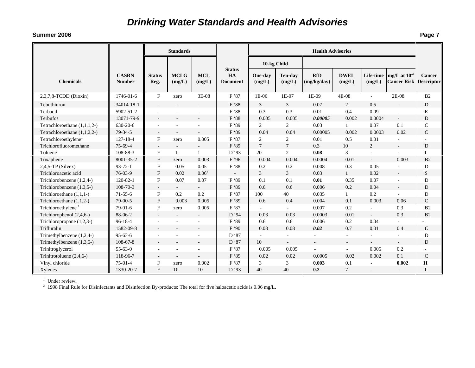#### **Summer 2006**

| --  | $\overline{\phantom{0}}$ |
|-----|--------------------------|
| . . | Page 7                   |
|     |                          |

|                                  |                               | <b>Standards</b>         |                          |                          |                                        | <b>Health Advisories</b> |                          |                           |                       |                          |                                                     |                                    |
|----------------------------------|-------------------------------|--------------------------|--------------------------|--------------------------|----------------------------------------|--------------------------|--------------------------|---------------------------|-----------------------|--------------------------|-----------------------------------------------------|------------------------------------|
|                                  |                               |                          |                          |                          |                                        | 10-kg Child              |                          |                           |                       |                          |                                                     |                                    |
| <b>Chemicals</b>                 | <b>CASRN</b><br><b>Number</b> | <b>Status</b><br>Reg.    | <b>MCLG</b><br>(mg/L)    | <b>MCL</b><br>(mg/L)     | <b>Status</b><br>HA<br><b>Document</b> | One-day<br>(mg/L)        | <b>Ten-day</b><br>(mg/L) | <b>RfD</b><br>(mg/kg/day) | <b>DWEL</b><br>(mg/L) | (mg/L)                   | Life-time $mg/L$ at $10^{-4}$<br><b>Cancer Risk</b> | <b>Cancer</b><br><b>Descriptor</b> |
| $2,3,7,8$ -TCDD (Dioxin)         | 1746-01-6                     | F                        | zero                     | 3E-08                    | F'87                                   | 1E-06                    | 1E-07                    | 1E-09                     | 4E-08                 | $\sim$                   | 2E-08                                               | B <sub>2</sub>                     |
| Tebuthiuron                      | 34014-18-1                    |                          | $\overline{a}$           |                          | F '88                                  | 3                        | 3                        | 0.07                      | 2                     | 0.5                      | $\overline{a}$                                      | D                                  |
| Terbacil                         | 5902-51-2                     |                          |                          |                          | F '88                                  | 0.3                      | 0.3                      | 0.01                      | 0.4                   | 0.09                     | ä,                                                  | E                                  |
| Terbufos                         | 13071-79-9                    |                          |                          |                          | F '88                                  | 0.005                    | 0.005                    | 0.00005                   | 0.002                 | 0.0004                   | $\overline{\phantom{a}}$                            | D                                  |
| Tetrachloroethane (1,1,1,2-)     | 630-20-6                      |                          | $\sim$                   | $\overline{\phantom{a}}$ | F '89                                  | 2                        | 2                        | 0.03                      | $\mathbf{1}$          | 0.07                     | 0.1                                                 | $\mathsf{C}$                       |
| Tetrachloroethane $(1,1,2,2)$    | $79-34-5$                     |                          | $\sim$                   |                          | F '89                                  | 0.04                     | 0.04                     | 0.00005                   | 0.002                 | 0.0003                   | 0.02                                                | $\mathcal{C}$                      |
| Tetrachloroethylene <sup>1</sup> | $127 - 18 - 4$                | $\mathbf{F}$             | zero                     | 0.005                    | F '87                                  | $\overline{c}$           | $\overline{2}$           | 0.01                      | 0.5                   | 0.01                     |                                                     |                                    |
| Trichlorofluoromethane           | $75-69-4$                     | $\sim$                   | $\overline{\phantom{a}}$ |                          | F '89                                  | $\overline{7}$           | $\tau$                   | 0.3                       | 10                    | 2                        | $\overline{a}$                                      | D                                  |
| Toluene                          | 108-88-3                      | F                        | 1                        | 1                        | D '93                                  | 20                       | $\overline{2}$           | 0.08                      | 3                     |                          |                                                     | $\mathbf I$                        |
| Toxaphene                        | 8001-35-2                     | $\mathbf{F}$             | zero                     | 0.003                    | F '96                                  | 0.004                    | 0.004                    | 0.0004                    | 0.01                  |                          | 0.003                                               | B <sub>2</sub>                     |
| $2,4,5$ -TP (Silvex)             | $93 - 72 - 1$                 | F                        | 0.05                     | 0.05                     | F '88                                  | 0.2                      | 0.2                      | 0.008                     | 0.3                   | 0.05                     |                                                     | D                                  |
| Trichloroacetic acid             | $76-03-9$                     | $\mathbf{F}$             | 0.02                     | $0.06^2$                 |                                        | 3                        | 3                        | 0.03                      | $\mathbf{1}$          | 0.02                     | $\overline{\phantom{a}}$                            | S                                  |
| Trichlorobenzene (1,2,4-)        | $120 - 82 - 1$                | F                        | 0.07                     | 0.07                     | F '89                                  | 0.1                      | 0.1                      | 0.01                      | 0.35                  | 0.07                     | ÷,                                                  | D                                  |
| Trichlorobenzene (1,3,5-)        | 108-70-3                      | $\overline{\phantom{a}}$ |                          |                          | F '89                                  | 0.6                      | 0.6                      | 0.006                     | 0.2                   | 0.04                     | $\overline{\phantom{a}}$                            | D                                  |
| Trichloroethane $(1,1,1-)$       | $71-55-6$                     | F                        | 0.2                      | 0.2                      | F '87                                  | 100                      | 40                       | 0.035                     | $\mathbf{1}$          | 0.2                      |                                                     | D                                  |
| Trichloroethane $(1,1,2-)$       | 79-00-5                       | $\mathbf{F}$             | 0.003                    | 0.005                    | F '89                                  | 0.6                      | 0.4                      | 0.004                     | 0.1                   | 0.003                    | 0.06                                                | $\mathcal{C}$                      |
| Trichloroethylene <sup>1</sup>   | $79-01-6$                     | F                        | zero                     | 0.005                    | F '87                                  |                          | $\bar{a}$                | 0.007                     | 0.2                   | ÷                        | 0.3                                                 | B <sub>2</sub>                     |
| Trichlorophenol (2,4,6-)         | 88-06-2                       |                          | $\overline{\phantom{a}}$ | $\sim$                   | D '94                                  | 0.03                     | 0.03                     | 0.0003                    | 0.01                  | $\overline{\phantom{a}}$ | 0.3                                                 | B <sub>2</sub>                     |
| Trichloropropane (1,2,3-)        | 96-18-4                       |                          | $\sim$                   | $\overline{\phantom{a}}$ | F '89                                  | 0.6                      | 0.6                      | 0.006                     | 0.2                   | 0.04                     | ÷                                                   |                                    |
| Trifluralin                      | 1582-09-8                     |                          |                          |                          | F '90                                  | 0.08                     | 0.08                     | 0.02                      | 0.7                   | 0.01                     | 0.4                                                 | $\mathcal{C}_{\mathcal{C}}$        |
| Trimethylbenzene $(1,2,4-)$      | $95 - 63 - 6$                 |                          |                          | $\sim$                   | D '87                                  |                          | ÷.                       | $\sim$                    | $\sim$                | $\overline{\phantom{a}}$ | $\sim$                                              | D                                  |
| Trimethylbenzene (1,3,5-)        | $108 - 67 - 8$                |                          |                          |                          | D '87                                  | 10                       | ÷.                       |                           | $\sim$                |                          | $\overline{\phantom{a}}$                            | D                                  |
| Trinitroglycerol                 | $55 - 63 - 0$                 |                          |                          | $\sim$                   | F '87                                  | 0.005                    | 0.005                    |                           | $\sim$                | 0.005                    | 0.2                                                 |                                    |
| Trinitrotoluene $(2,4,6)$        | 118-96-7                      |                          |                          |                          | F '89                                  | 0.02                     | 0.02                     | 0.0005                    | 0.02                  | 0.002                    | 0.1                                                 | $\mathsf{C}$                       |
| Vinyl chloride                   | $75-01-4$                     | F                        | zero                     | 0.002                    | F '87                                  | 3                        | 3                        | 0.003                     | 0.1                   |                          | 0.002                                               | $\mathbf H$                        |
| Xylenes                          | 1330-20-7                     | F                        | 10                       | 10                       | D '93                                  | 40                       | 40                       | 0.2                       | 7                     |                          |                                                     |                                    |

<sup>1</sup> Under review.<br><sup>2</sup> 1998 Final Rule for Disinfectants and Disinfection By-products: The total for five haloacetic acids is 0.06 mg/L.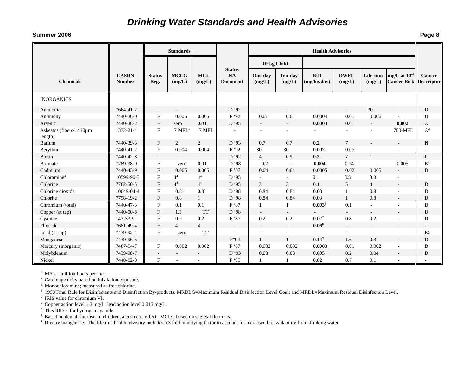#### **Summer 2006**

| --  | Page 8 |
|-----|--------|
| . . |        |

|                                          |                               | <b>Standards</b>      |                       |                          |                                        | <b>Health Advisories</b> |                          |                           |                       |                     |                                                    |                          |
|------------------------------------------|-------------------------------|-----------------------|-----------------------|--------------------------|----------------------------------------|--------------------------|--------------------------|---------------------------|-----------------------|---------------------|----------------------------------------------------|--------------------------|
|                                          |                               |                       |                       |                          |                                        | 10-kg Child              |                          |                           |                       |                     |                                                    |                          |
| <b>Chemicals</b>                         | <b>CASRN</b><br><b>Number</b> | <b>Status</b><br>Reg. | <b>MCLG</b><br>(mg/L) | <b>MCL</b><br>(mg/L)     | <b>Status</b><br>HA<br><b>Document</b> | One-day<br>(mg/L)        | <b>Ten-day</b><br>(mg/L) | <b>RfD</b><br>(mg/kg/day) | <b>DWEL</b><br>(mg/L) | Life-time<br>(mg/L) | mg/L at $10^{-4}$<br><b>Cancer Risk Descriptor</b> | Cancer                   |
| <b>INORGANICS</b>                        |                               |                       |                       |                          |                                        |                          |                          |                           |                       |                     |                                                    |                          |
| Ammonia                                  | 7664-41-7                     | $\sim$                | $\sim$                | $\overline{\phantom{a}}$ | D '92                                  | $\sim$                   | $\sim$                   | $\overline{\phantom{a}}$  | $\sim$                | 30                  |                                                    | D                        |
| Antimony                                 | 7440-36-0                     | F                     | 0.006                 | 0.006                    | F '92                                  | 0.01                     | 0.01                     | 0.0004                    | 0.01                  | 0.006               |                                                    | D                        |
| Arsenic                                  | 7440-38-2                     | F                     | zero                  | 0.01                     | D '95                                  |                          | $\blacksquare$           | 0.0003                    | 0.01                  |                     | 0.002                                              | A                        |
| Asbestos (fibers/ $l > l$ 0µm<br>length) | 1332-21-4                     | $_{\rm F}$            | $7 \mathrm{MFL}^1$    | 7 MFL                    |                                        |                          | $\overline{\phantom{a}}$ |                           | $\sim$                |                     | 700-MFL                                            | $\mathbf{A}^2$           |
| Barium                                   | 7440-39-3                     | $\mathbf{F}$          | 2                     | 2                        | D '93                                  | 0.7                      | 0.7                      | 0.2                       | $\tau$                |                     |                                                    | ${\bf N}$                |
| Beryllium                                | 7440-41-7                     | F                     | 0.004                 | 0.004                    | F '92                                  | 30                       | 30                       | 0.002                     | 0.07                  |                     |                                                    |                          |
| Boron                                    | 7440-42-8                     | $\sim$                | $\sim$                | $\overline{\phantom{a}}$ | D '92                                  | $\overline{4}$           | 0.9                      | 0.2                       | $7\overline{ }$       |                     | $\sim$                                             | I                        |
| <b>Bromate</b>                           | 7789-38-0                     | F                     | zero                  | 0.01                     | D '98                                  | 0.2                      | $\sim$                   | 0.004                     | 0.14                  | $\sim$              | 0.005                                              | B2                       |
| Cadmium                                  | 7440-43-9                     | $_{\rm F}$            | 0.005                 | 0.005                    | F'87                                   | 0.04                     | 0.04                     | 0.0005                    | 0.02                  | 0.005               |                                                    | D                        |
| Chloramine <sup>3</sup>                  | 10599-90-3                    | $_{\rm F}$            | 4 <sup>4</sup>        | 4 <sup>4</sup>           | D '95                                  |                          | $\sim$                   | 0.1                       | 3.5                   | 3.0                 |                                                    |                          |
| Chlorine                                 | 7782-50-5                     | $\mathbf{F}$          | 4 <sup>4</sup>        | 4 <sup>4</sup>           | D '95                                  | 3                        | $\overline{3}$           | 0.1                       | 5                     | $\overline{4}$      | $\overline{a}$                                     | D                        |
| Chlorine dioxide                         | 10049-04-4                    | $_{\rm F}$            | $0.8^{4}$             | $0.8^{4}$                | D '98                                  | 0.84                     | 0.84                     | 0.03                      | 1                     | 0.8                 |                                                    | D                        |
| Chlorite                                 | 7758-19-2                     | F                     | 0.8                   | $\mathbf{1}$             | D '98                                  | 0.84                     | 0.84                     | 0.03                      | $\mathbf{1}$          | 0.8                 |                                                    | D                        |
| Chromium (total)                         | 7440-47-3                     | F                     | 0.1                   | 0.1                      | F '87                                  |                          | 1                        | 0.003 <sup>5</sup>        | 0.1                   | $\sim$              |                                                    | D                        |
| Copper (at tap)                          | 7440-50-8                     | $_{\rm F}$            | 1.3                   | TT <sup>6</sup>          | D '98                                  |                          |                          |                           |                       | $\sim$              | $\overline{\phantom{a}}$                           | D                        |
| Cyanide                                  | 143-33-9                      | F                     | 0.2                   | 0.2                      | F '87                                  | 0.2                      | 0.2                      | $0.02^{7}$                | $0.8\,$               | 0.2                 |                                                    | D                        |
| Fluoride                                 | 7681-49-4                     | F                     | $\overline{4}$        | $\overline{4}$           | $\sim$                                 | $\overline{\phantom{a}}$ | $\sim$                   | $0.06^8$                  | $\sim$                | $\sim$              |                                                    | $\overline{\phantom{a}}$ |
| Lead (at tap)                            | 7439-92-1                     | F                     | zero                  | TT <sup>6</sup>          |                                        |                          | $\overline{\phantom{a}}$ |                           | $\sim$                |                     | $\sim$                                             | B <sub>2</sub>           |
| Manganese                                | 7439-96-5                     |                       |                       |                          | F'04                                   | 1                        | $\mathbf{1}$             | $0.14^{9}$                | 1.6                   | 0.3                 |                                                    | D                        |
| Mercury (inorganic)                      | 7487-94-7                     | F                     | 0.002                 | 0.002                    | F '87                                  | 0.002                    | 0.002                    | 0.0003                    | 0.01                  | 0.002               | $\overline{\phantom{a}}$                           | D                        |
| Molybdenum                               | 7439-98-7                     |                       |                       |                          | D '93                                  | 0.08                     | 0.08                     | 0.005                     | 0.2                   | 0.04                |                                                    | D                        |
| Nickel                                   | 7440-02-0                     | $_{\rm F}$            |                       |                          | F '95                                  |                          |                          | 0.02                      | 0.7                   | 0.1                 |                                                    |                          |

<sup>1</sup> MFL = million fibers per liter.

<sup>2</sup> Carcinogenicity based on inhalation exposure.

<sup>3</sup> Monochloramine; measured as free chlorine.

4 1998 Final Rule for Disinfectants and Disinfection By-products: MRDLG=Maximum Residual Disinfection Level Goal; and MRDL=Maximum Residual Disinfection Level.

<sup>5</sup> IRIS value for chromium VI.

<sup>6</sup> Copper action level 1.3 mg/L; lead action level 0.015 mg/L.

 $\frac{1}{7}$  This RfD is for hydrogen cyanide.

<sup>8</sup> Based on dental fluorosis in children, a cosmetic effect. MCLG based on skeletal fluorosis.

<sup>9</sup> Dietary manganese. The lifetime health advisory includes a 3 fold modifying factor to account for increased bioavailability from drinking water.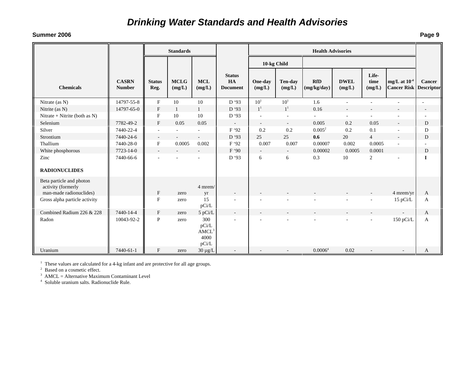#### **Summer 2006**

|                                                                           |                               |                           | <b>Standards</b>         |                                           |                                        | <b>Health Advisories</b> |                          |                           |                       |                          |                                         |                      |
|---------------------------------------------------------------------------|-------------------------------|---------------------------|--------------------------|-------------------------------------------|----------------------------------------|--------------------------|--------------------------|---------------------------|-----------------------|--------------------------|-----------------------------------------|----------------------|
|                                                                           |                               |                           |                          |                                           |                                        | 10-kg Child              |                          |                           |                       |                          |                                         |                      |
| <b>Chemicals</b>                                                          | <b>CASRN</b><br><b>Number</b> | <b>Status</b><br>Reg.     | <b>MCLG</b><br>(mg/L)    | <b>MCL</b><br>(mg/L)                      | <b>Status</b><br>HA<br><b>Document</b> | One-day<br>(mg/L)        | <b>Ten-day</b><br>(mg/L) | <b>RfD</b><br>(mg/kg/day) | <b>DWEL</b><br>(mg/L) | Life-<br>time<br>(mg/L)  | mg/L at $10^{-4}$<br><b>Cancer Risk</b> | Cancer<br>Descriptor |
| Nitrate (as N)                                                            | 14797-55-8                    | ${\bf F}$                 | 10                       | 10                                        | D '93                                  | 10 <sup>1</sup>          | 10 <sup>1</sup>          | 1.6                       | $\sim$                | ä,                       | ä,                                      | ä,                   |
| Nitrite (as N)                                                            | 14797-65-0                    | $\boldsymbol{\mathrm{F}}$ |                          |                                           | D'93                                   | 1 <sup>1</sup>           | 1 <sup>1</sup>           | 0.16                      |                       |                          |                                         |                      |
| Nitrate + Nitrite (both as $N$ )                                          |                               | $\boldsymbol{\mathrm{F}}$ | 10                       | 10                                        | D '93                                  | $\overline{\phantom{a}}$ | $\overline{\phantom{a}}$ | $\sim$                    | $\sim$                | $\overline{\phantom{a}}$ | $\overline{\phantom{a}}$                |                      |
| Selenium                                                                  | 7782-49-2                     | $\boldsymbol{\mathrm{F}}$ | 0.05                     | 0.05                                      | $\overline{\phantom{a}}$               | $\overline{\phantom{a}}$ | $\sim$                   | 0.005                     | 0.2                   | 0.05                     |                                         | D                    |
| Silver                                                                    | 7440-22-4                     | $\sim$                    | $\overline{\phantom{a}}$ | ۰                                         | F '92                                  | 0.2                      | 0.2                      | $0.005^2$                 | 0.2                   | 0.1                      | ÷,                                      | D                    |
| Strontium                                                                 | 7440-24-6                     | $\overline{\phantom{a}}$  |                          |                                           | D '93                                  | 25                       | 25                       | 0.6                       | 20                    | $\overline{4}$           |                                         | D                    |
| Thallium                                                                  | 7440-28-0                     | $\boldsymbol{\mathrm{F}}$ | 0.0005                   | 0.002                                     | F '92                                  | 0.007                    | 0.007                    | 0.00007                   | 0.002                 | 0.0005                   | ÷,                                      |                      |
| White phosphorous                                                         | 7723-14-0                     | $\sim$                    |                          | $\overline{a}$                            | F'90                                   | $\overline{\phantom{a}}$ | $\sim$                   | 0.00002                   | 0.0005                | 0.0001                   |                                         | D                    |
| Zinc                                                                      | 7440-66-6                     | ÷,                        |                          |                                           | D '93                                  | 6                        | 6                        | 0.3                       | 10                    | 2                        |                                         | $\mathbf I$          |
| <b>RADIONUCLIDES</b>                                                      |                               |                           |                          |                                           |                                        |                          |                          |                           |                       |                          |                                         |                      |
| Beta particle and photon<br>activity (formerly<br>man-made radionuclides) |                               | $\boldsymbol{\mathrm{F}}$ | zero                     | 4 mrem/<br>yr                             |                                        |                          |                          |                           |                       |                          | 4 mrem/yr                               | A                    |
| Gross alpha particle activity                                             |                               | $\mathbf F$               | zero                     | 15<br>pCi/L                               |                                        |                          |                          |                           |                       | $\overline{a}$           | 15 pCi/L                                | A                    |
| Combined Radium 226 & 228                                                 | 7440-14-4                     | $\boldsymbol{\mathrm{F}}$ | zero                     | 5 pCi/L                                   | $\overline{\phantom{a}}$               |                          |                          |                           |                       |                          | $\sim$                                  | A                    |
| Radon                                                                     | 10043-92-2                    | $\mathbf P$               | zero                     | 300<br>pCi/L<br>$AMCL^3$<br>4000<br>pCi/L |                                        |                          |                          |                           |                       | $\overline{a}$           | 150 pCi/L                               | A                    |
| Uranium                                                                   | 7440-61-1                     | $\mathbf{F}$              | zero                     | $30 \mu g/L$                              |                                        |                          |                          | 0.0006 <sup>4</sup>       | 0.02                  |                          |                                         | A                    |

<sup>1</sup> These values are calculated for a 4-kg infant and are protective for all age groups. <sup>2</sup> Based on a cosmetic effect.

 $3$  AMCL = Alternative Maximum Contaminant Level

4 Soluble uranium salts. Radionuclide Rule.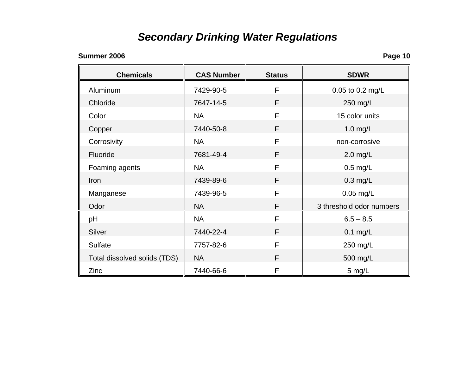## *Secondary Drinking Water Regulations*

### **Summer 2006**

| <b>Chemicals</b>             | <b>CAS Number</b> | <b>Status</b> | <b>SDWR</b>              |  |
|------------------------------|-------------------|---------------|--------------------------|--|
| Aluminum                     | 7429-90-5         | F             | 0.05 to 0.2 mg/L         |  |
| Chloride                     | 7647-14-5         | F             | 250 mg/L                 |  |
| Color                        | <b>NA</b>         | F             | 15 color units           |  |
| Copper                       | 7440-50-8         | F             | $1.0$ mg/L               |  |
| Corrosivity                  | <b>NA</b>         | F             | non-corrosive            |  |
| Fluoride                     | 7681-49-4         | F             | $2.0$ mg/L               |  |
| Foaming agents               | <b>NA</b>         | F             | $0.5$ mg/L               |  |
| Iron                         | 7439-89-6         | F             | $0.3$ mg/L               |  |
| Manganese                    | 7439-96-5         | F             | 0.05 mg/L                |  |
| Odor                         | <b>NA</b>         | F             | 3 threshold odor numbers |  |
| pH                           | <b>NA</b>         | F             | $6.5 - 8.5$              |  |
| Silver                       | 7440-22-4         | F.            | $0.1$ mg/L               |  |
| <b>Sulfate</b>               | 7757-82-6         | F             | 250 mg/L                 |  |
| Total dissolved solids (TDS) | <b>NA</b>         | F             | 500 mg/L                 |  |
| Zinc                         | 7440-66-6         | F             | 5 mg/L                   |  |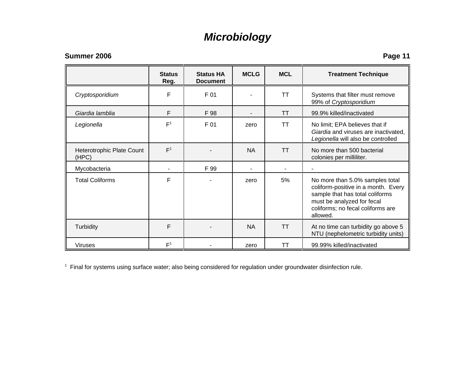### *Microbiology*

### **Summer 2006**

**Page 11**

|                                    | <b>Status</b><br>Reg. | <b>Status HA</b><br><b>Document</b> | <b>MCLG</b> | <b>MCL</b> | <b>Treatment Technique</b>                                                                                                                                                               |  |
|------------------------------------|-----------------------|-------------------------------------|-------------|------------|------------------------------------------------------------------------------------------------------------------------------------------------------------------------------------------|--|
| Cryptosporidium                    | F                     | F 01                                |             | TΤ         | Systems that filter must remove<br>99% of Cryptosporidium                                                                                                                                |  |
| Giardia lamblia                    | F                     | F 98                                |             | <b>TT</b>  | 99.9% killed/inactivated                                                                                                                                                                 |  |
| Legionella                         | F <sup>1</sup>        | F 01                                | zero        | TΤ         | No limit; EPA believes that if<br>Giardia and viruses are inactivated,<br>Legionella will also be controlled                                                                             |  |
| Heterotrophic Plate Count<br>(HPC) | F <sup>1</sup>        |                                     | <b>NA</b>   | <b>TT</b>  | No more than 500 bacterial<br>colonies per milliliter.                                                                                                                                   |  |
| Mycobacteria                       |                       | F 99                                |             |            |                                                                                                                                                                                          |  |
| <b>Total Coliforms</b>             | F                     |                                     | zero        | 5%         | No more than 5.0% samples total<br>coliform-positive in a month. Every<br>sample that has total coliforms<br>must be analyzed for fecal<br>coliforms; no fecal coliforms are<br>allowed. |  |
| Turbidity                          | F                     |                                     | <b>NA</b>   | <b>TT</b>  | At no time can turbidity go above 5<br>NTU (nephelometric turbidity units)                                                                                                               |  |
| <b>Viruses</b>                     | F <sup>1</sup>        |                                     | zero        | ТT         | 99.99% killed/inactivated                                                                                                                                                                |  |

<sup>1</sup> Final for systems using surface water; also being considered for regulation under groundwater disinfection rule.